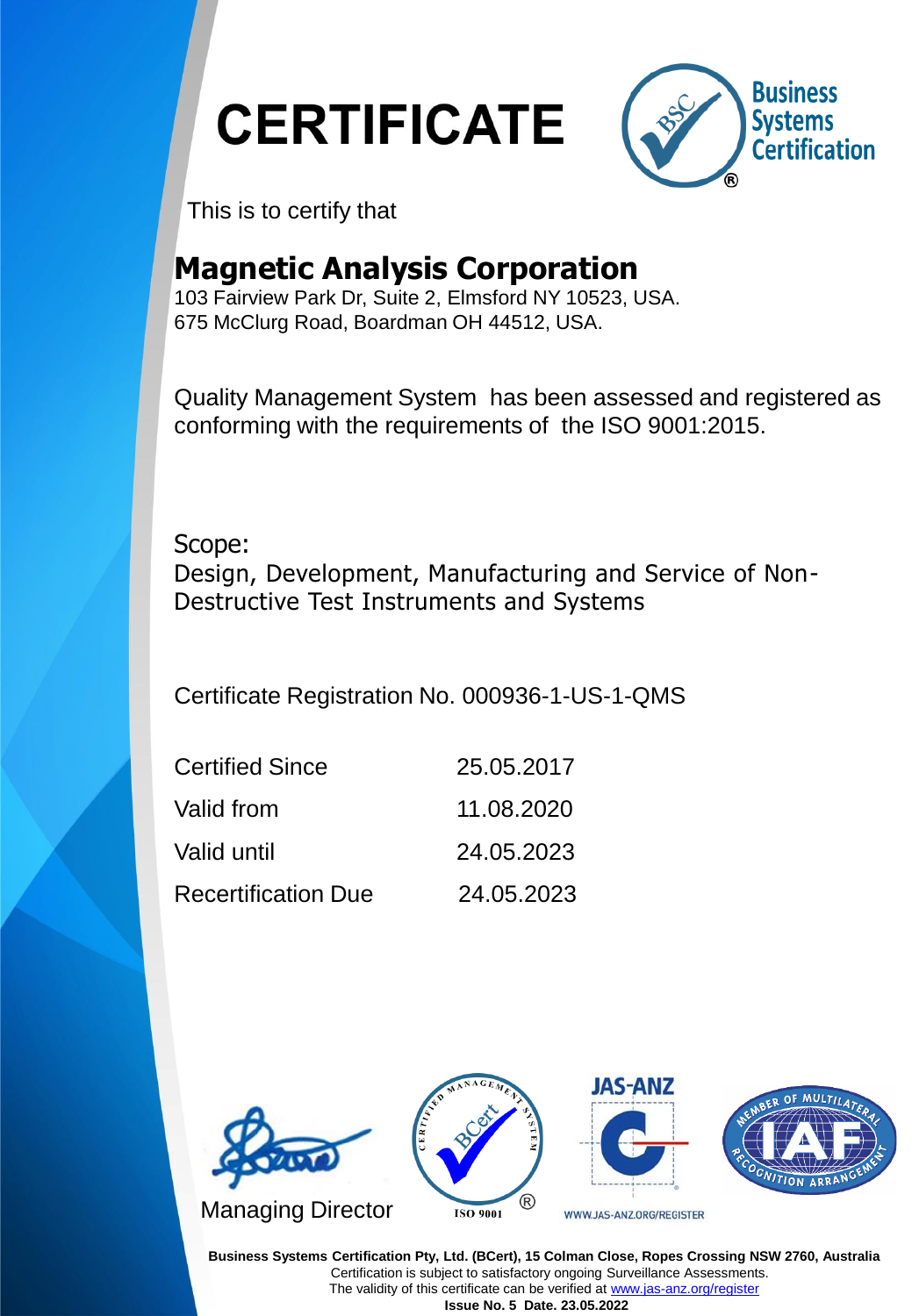**CERTIFICATE** 



This is to certify that

#### **Magnetic Analysis Corporation**

103 Fairview Park Dr, Suite 2, Elmsford NY 10523, USA. 675 McClurg Road, Boardman OH 44512, USA.

Quality Management System has been assessed and registered as conforming with the requirements of the ISO 9001:2015.

Scope: Design, Development, Manufacturing and Service of Non-Destructive Test Instruments and Systems

Certificate Registration No. 000936-1-US-1-QMS

| <b>Certified Since</b>     | 25.05.2017 |
|----------------------------|------------|
| Valid from                 | 11.08.2020 |
| Valid until                | 24.05.2023 |
| <b>Recertification Due</b> | 24.05.2023 |



**Business Systems Certification Pty, Ltd. (BCert), 15 Colman Close, Ropes Crossing NSW 2760, Australia** Certification is subject to satisfactory ongoing Surveillance Assessments. The validity of this certificate can be verified at [www.jas-anz.org/register](http://www.jas-anz.org/register) **Issue No. 5 Date. 23.05.2022**